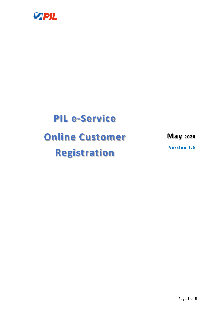

## **PIL e-Service**

# **Online Customer Registration**

**May <sup>2020</sup>**

**Version 1.0**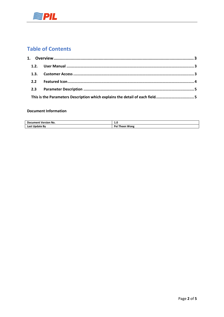

### **Table of Contents**

|  | This is the Parameters Description which explains the detail of each field5 |  |
|--|-----------------------------------------------------------------------------|--|

#### **Document Information**

| <b>Document Version No.</b> |                           |
|-----------------------------|---------------------------|
| Last<br>Undate Bv           | Do.<br>Wone<br>rheer.<br> |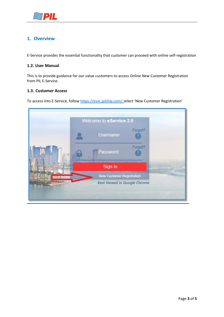

#### <span id="page-2-0"></span>**1. Overview**

E-Service provides the essential functionality that customer can proceed with online self-registration

#### <span id="page-2-1"></span>**1.2. User Manual**

This is to provide guidance for our value customers to access Online New Customer Registration from PIL E-Service.

#### <span id="page-2-2"></span>**1.3. Customer Access**

To access into E-Service, follow <https://esvc.pilship.com/>select 'New Customer Registration'

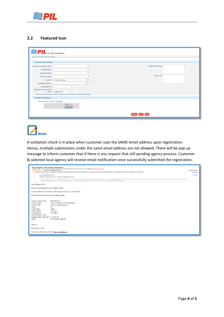

#### <span id="page-3-0"></span>**2.2 Featured Icon**

| <b>PIL</b> <i>Our Promise, Your Satisfaction</i>                                                                                                                    |                                  |  |  |  |  |  |
|---------------------------------------------------------------------------------------------------------------------------------------------------------------------|----------------------------------|--|--|--|--|--|
| <b>NEW CUSTOMER REGISTRATION</b>                                                                                                                                    |                                  |  |  |  |  |  |
| <b>Customer Information</b>                                                                                                                                         |                                  |  |  |  |  |  |
| <b>Customer Company Name:</b><br><b>Contact Name:</b>                                                                                                               | <b>Customer Address:</b>         |  |  |  |  |  |
| <b>Contact Number:</b><br><b>Customer Email:</b>                                                                                                                    | Other Info:                      |  |  |  |  |  |
| <b>Controlling Agency:</b>                                                                                                                                          | Country :   --Select a Country-- |  |  |  |  |  |
| Last BL Ref No:<br><b>Estimated Annum Volume</b><br>$(TEUs):$ < 100 per year<br>* Please provide your past BL Ref no to speed up New customer Registration request. |                                  |  |  |  |  |  |
| <b>Security Verification</b>                                                                                                                                        |                                  |  |  |  |  |  |
| Click on the PIL Ship you see below.<br>$^{14}$ 9 117                                                                                                               |                                  |  |  |  |  |  |
|                                                                                                                                                                     | Submit<br><b>Back</b>            |  |  |  |  |  |



A validation check is in place when customer uses the SAME email address upon registration. Hence, multiple submissions under the same email address are not allowed. There will be pop up message to inform customer that if there is any request that still pending agency process. Customer & selected local agency will receive email notification once successfully submitted the registration.

| PIL eCommerce: New Customer Registration<br>EXTERNAL EMAIL : Cautious on web-links & Attachments unless you trust the Sender and know the Content is safe. If in doubt, Click the Red button-Reporting to ISD<br>eservices.test to: peitheen.wong@sgp.pilship.com<br>Cc: meileng.leong, meileng.leong, meileng.leong, meileng.leong, meileng.leong, Peitheen, wong, Nithyashree.k, meileng.leong, meileng.leong, christabella.leong, meileng, leong, meileng.leong, meileng.leong, meileng.leong, m<br>eservices.test@sgp.pilship.com<br>From:<br>To:<br>"peitheen.wong@sgp.pilship.com" <peitheen.wong@sgp.pilship.com><br/>Cer<br/>meileng.leong@sgp.pilship.com, meileng.leong@sgp.pilship.com, meileng.leong@sgp.pilship.com, meileng.leong@sgp.pilship.com, meileng.leong@sgp.pilship.com, meileng.leong@sgp.pilship.com, heitheen.wong@sgp.pilship.com, Nithy<br/>, christabella.leong@sgp.pilship.com, meileng.leong@sgp.pilship.com, meileng.leong@sgp.pilship.com, meileng.leong@sgp.pilship.com, meileng.leong@sgp.pilship.com</peitheen.wong@sgp.pilship.com> | 17 Mar 2020 16:46<br><b>Hide Details</b><br>Sort List |  |  |  |  |
|--------------------------------------------------------------------------------------------------------------------------------------------------------------------------------------------------------------------------------------------------------------------------------------------------------------------------------------------------------------------------------------------------------------------------------------------------------------------------------------------------------------------------------------------------------------------------------------------------------------------------------------------------------------------------------------------------------------------------------------------------------------------------------------------------------------------------------------------------------------------------------------------------------------------------------------------------------------------------------------------------------------------------------------------------------------------------|-------------------------------------------------------|--|--|--|--|
| Dear Sir/Madam TESTS.                                                                                                                                                                                                                                                                                                                                                                                                                                                                                                                                                                                                                                                                                                                                                                                                                                                                                                                                                                                                                                                    |                                                       |  |  |  |  |
| You have recently registered on our e-Commerce website.                                                                                                                                                                                                                                                                                                                                                                                                                                                                                                                                                                                                                                                                                                                                                                                                                                                                                                                                                                                                                  |                                                       |  |  |  |  |
| You will be notified by our local agency customer support when your account is activated.                                                                                                                                                                                                                                                                                                                                                                                                                                                                                                                                                                                                                                                                                                                                                                                                                                                                                                                                                                                |                                                       |  |  |  |  |
| Please feel free to contact us if you have any further questions.                                                                                                                                                                                                                                                                                                                                                                                                                                                                                                                                                                                                                                                                                                                                                                                                                                                                                                                                                                                                        |                                                       |  |  |  |  |
| : TEST PTE LTD<br>Customer Company Name<br>: 123 JKT TESTING 123456 SINGAPORE<br><b>Customer Address</b><br><b>Customer Email</b><br>: peitheen.wong@sgp.pilship.com<br>:SG<br>Country<br>: TESTS<br><b>Contact Name</b><br>: 12345678<br><b>Contact Number</b><br><b>Controlling Agency</b><br>: V&L Iffffinl<br>Last BL Reference with PIL<br>Estimated Annum Volume (TEU): < 100 per year<br>Interest<br>: New Customer Registration                                                                                                                                                                                                                                                                                                                                                                                                                                                                                                                                                                                                                                  |                                                       |  |  |  |  |
| Thank you.                                                                                                                                                                                                                                                                                                                                                                                                                                                                                                                                                                                                                                                                                                                                                                                                                                                                                                                                                                                                                                                               |                                                       |  |  |  |  |
| PIL eCommerce Team                                                                                                                                                                                                                                                                                                                                                                                                                                                                                                                                                                                                                                                                                                                                                                                                                                                                                                                                                                                                                                                       |                                                       |  |  |  |  |
| For more info, please visit our website at https://www.pilship.com                                                                                                                                                                                                                                                                                                                                                                                                                                                                                                                                                                                                                                                                                                                                                                                                                                                                                                                                                                                                       |                                                       |  |  |  |  |
|                                                                                                                                                                                                                                                                                                                                                                                                                                                                                                                                                                                                                                                                                                                                                                                                                                                                                                                                                                                                                                                                          |                                                       |  |  |  |  |